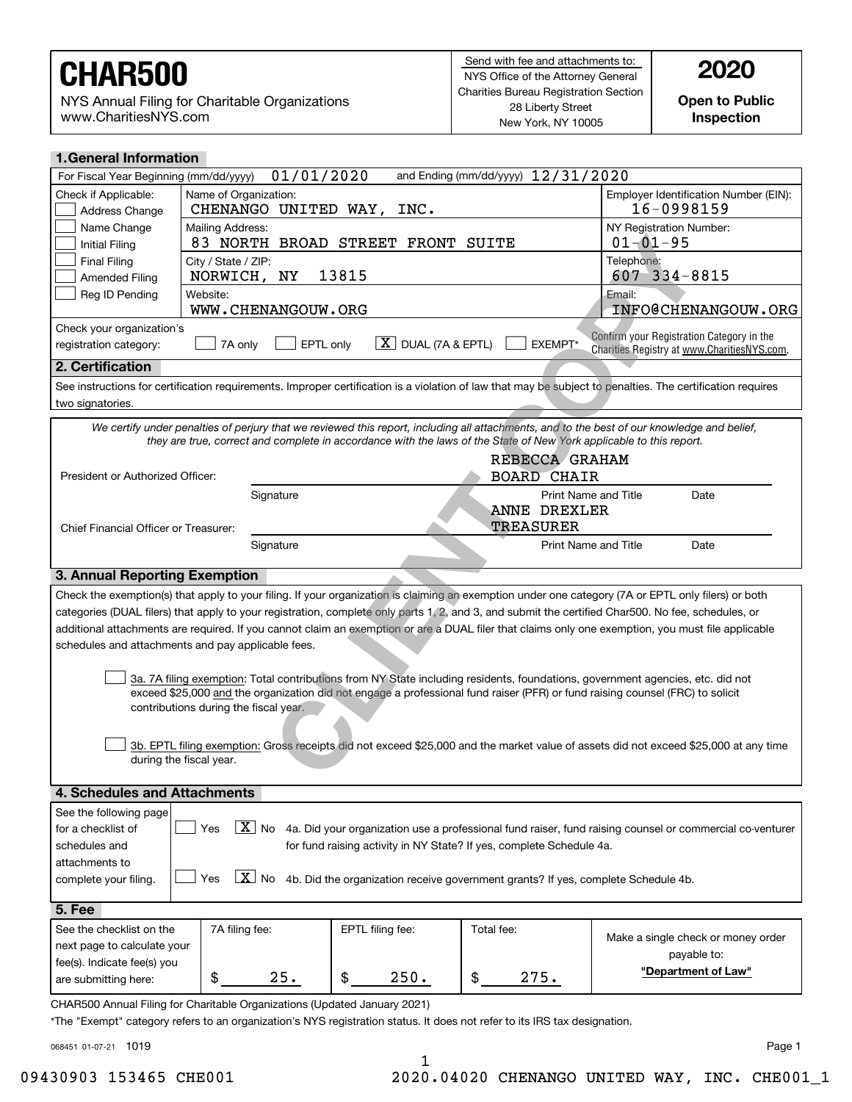NYS Annual Filing for Charitable Organizations www.CharitiesNYS.com

**Open to Public Inspection**

| <b>1.General Information</b>                                                                                                                                  |                                   |                  |                      |                                                                                                                                             |  |  |
|---------------------------------------------------------------------------------------------------------------------------------------------------------------|-----------------------------------|------------------|----------------------|---------------------------------------------------------------------------------------------------------------------------------------------|--|--|
| 01/01/2020<br>and Ending (mm/dd/yyyy) 12/31/2020<br>For Fiscal Year Beginning (mm/dd/yyyy)                                                                    |                                   |                  |                      |                                                                                                                                             |  |  |
| Check if Applicable:                                                                                                                                          | Name of Organization:             |                  |                      | Employer Identification Number (EIN):                                                                                                       |  |  |
| Address Change                                                                                                                                                | CHENANGO UNITED WAY,<br>INC.      |                  |                      | 16-0998159                                                                                                                                  |  |  |
| Name Change                                                                                                                                                   | Mailing Address:                  |                  |                      | NY Registration Number:                                                                                                                     |  |  |
| <b>Initial Filing</b>                                                                                                                                         | 83 NORTH BROAD STREET FRONT SUITE |                  |                      | $01 - 01 - 95$                                                                                                                              |  |  |
| <b>Final Filing</b>                                                                                                                                           | City / State / ZIP:               |                  |                      | Telephone:                                                                                                                                  |  |  |
| <b>Amended Filing</b>                                                                                                                                         | NORWICH, NY                       | 13815            |                      | $607 - 334 - 8815$                                                                                                                          |  |  |
| Reg ID Pending                                                                                                                                                | Website:<br>WWW.CHENANGOUW.ORG    |                  |                      | Email:<br>INFO@CHENANGOUW.ORG                                                                                                               |  |  |
| Check your organization's<br>Confirm your Registration Category in the                                                                                        |                                   |                  |                      |                                                                                                                                             |  |  |
| $X$ DUAL (7A & EPTL)<br>EPTL only<br>EXEMPT*<br>7A only<br>registration category:<br>Charities Registry at www.CharitiesNYS.com.                              |                                   |                  |                      |                                                                                                                                             |  |  |
| 2. Certification                                                                                                                                              |                                   |                  |                      |                                                                                                                                             |  |  |
| See instructions for certification requirements. Improper certification is a violation of law that may be subject to penalties. The certification requires    |                                   |                  |                      |                                                                                                                                             |  |  |
| two signatories.                                                                                                                                              |                                   |                  |                      |                                                                                                                                             |  |  |
|                                                                                                                                                               |                                   |                  |                      | We certify under penalties of perjury that we reviewed this report, including all attachments, and to the best of our knowledge and belief, |  |  |
| they are true, correct and complete in accordance with the laws of the State of New York applicable to this report.                                           |                                   |                  |                      |                                                                                                                                             |  |  |
| REBECCA GRAHAM                                                                                                                                                |                                   |                  |                      |                                                                                                                                             |  |  |
| President or Authorized Officer:                                                                                                                              |                                   |                  | <b>BOARD CHAIR</b>   |                                                                                                                                             |  |  |
|                                                                                                                                                               | Signature                         |                  | Print Name and Title | Date                                                                                                                                        |  |  |
|                                                                                                                                                               |                                   |                  | ANNE DREXLER         |                                                                                                                                             |  |  |
| Chief Financial Officer or Treasurer:                                                                                                                         |                                   |                  | <b>TREASURER</b>     |                                                                                                                                             |  |  |
|                                                                                                                                                               | Signature                         |                  | Print Name and Title | Date                                                                                                                                        |  |  |
| 3. Annual Reporting Exemption                                                                                                                                 |                                   |                  |                      |                                                                                                                                             |  |  |
| Check the exemption(s) that apply to your filing. If your organization is claiming an exemption under one category (7A or EPTL only filers) or both           |                                   |                  |                      |                                                                                                                                             |  |  |
| categories (DUAL filers) that apply to your registration, complete only parts 1, 2, and 3, and submit the certified Char500. No fee, schedules, or            |                                   |                  |                      |                                                                                                                                             |  |  |
| additional attachments are required. If you cannot claim an exemption or are a DUAL filer that claims only one exemption, you must file applicable            |                                   |                  |                      |                                                                                                                                             |  |  |
| schedules and attachments and pay applicable fees.                                                                                                            |                                   |                  |                      |                                                                                                                                             |  |  |
|                                                                                                                                                               |                                   |                  |                      |                                                                                                                                             |  |  |
| 3a. 7A filing exemption: Total contributions from NY State including residents, foundations, government agencies, etc. did not                                |                                   |                  |                      |                                                                                                                                             |  |  |
| exceed \$25,000 and the organization did not engage a professional fund raiser (PFR) or fund raising counsel (FRC) to solicit                                 |                                   |                  |                      |                                                                                                                                             |  |  |
| contributions during the fiscal year.                                                                                                                         |                                   |                  |                      |                                                                                                                                             |  |  |
|                                                                                                                                                               |                                   |                  |                      |                                                                                                                                             |  |  |
|                                                                                                                                                               |                                   |                  |                      | 3b. EPTL filing exemption: Gross receipts did not exceed \$25,000 and the market value of assets did not exceed \$25,000 at any time        |  |  |
| during the fiscal year.                                                                                                                                       |                                   |                  |                      |                                                                                                                                             |  |  |
|                                                                                                                                                               |                                   |                  |                      |                                                                                                                                             |  |  |
| 4. Schedules and Attachments                                                                                                                                  |                                   |                  |                      |                                                                                                                                             |  |  |
| See the following page                                                                                                                                        |                                   |                  |                      |                                                                                                                                             |  |  |
| $\boxed{\textbf{X}}$ No 4a. Did your organization use a professional fund raiser, fund raising counsel or commercial co-venturer<br>Yes<br>for a checklist of |                                   |                  |                      |                                                                                                                                             |  |  |
| schedules and<br>for fund raising activity in NY State? If yes, complete Schedule 4a.                                                                         |                                   |                  |                      |                                                                                                                                             |  |  |
| attachments to                                                                                                                                                |                                   |                  |                      |                                                                                                                                             |  |  |
| $ X $ No<br>4b. Did the organization receive government grants? If yes, complete Schedule 4b.<br>Yes<br>complete your filing.                                 |                                   |                  |                      |                                                                                                                                             |  |  |
| 5. Fee                                                                                                                                                        |                                   |                  |                      |                                                                                                                                             |  |  |
| See the checklist on the                                                                                                                                      | 7A filing fee:                    | EPTL filing fee: | Total fee:           |                                                                                                                                             |  |  |
| next page to calculate your                                                                                                                                   |                                   |                  |                      | Make a single check or money order                                                                                                          |  |  |
| fee(s). Indicate fee(s) you                                                                                                                                   |                                   |                  |                      | payable to:                                                                                                                                 |  |  |
| are submitting here:                                                                                                                                          | \$<br>25.                         | \$<br>250.       | \$<br>275.           | "Department of Law"                                                                                                                         |  |  |
| CHAR500 Annual Filing for Charitable Organizations (Updated January 2021)                                                                                     |                                   |                  |                      |                                                                                                                                             |  |  |
|                                                                                                                                                               |                                   |                  |                      |                                                                                                                                             |  |  |

\*The "Exempt" category refers to an organization's NYS registration status. It does not refer to its IRS tax designation.

068451 01-07-21 1019

Page 1

1